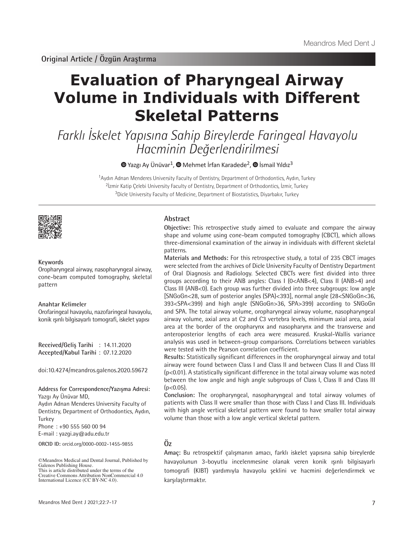# **Evaluation of Pharyngeal Airway Volume in Individuals with Different Skeletal Patterns**

Farklı İskelet Yapısına Sahip Bireylerde Faringeal Havayolu Hacminin Değerlendirilmesi

 $\bullet$ Yazgı Ay Ünüvar<sup>1</sup>,  $\bullet$  Mehmet İrfan Karadede<sup>2</sup>,  $\bullet$  İsmail Yıldız<sup>3</sup>

<sup>1</sup>Aydın Adnan Menderes University Faculty of Dentistry, Department of Orthodontics, Aydın, Turkey <sup>2</sup>İzmir Katip Çelebi University Faculty of Dentistry, Department of Orthodontics, İzmir, Turkey <sup>3</sup>Dicle University Faculty of Medicine, Department of Biostatistics, Diyarbakır, Turkey



#### **Keywords**

Oropharyngeal airway, nasopharyngeal airway, cone-beam computed tomography, skeletal pattern

#### **Anahtar Kelimeler**

Orofaringeal havayolu, nazofaringeal havayolu, konik ışınlı bilgisayarlı tomografi, iskelet yapısı

**Received/Geliş Tarihi** : 14.11.2020 **Accepted/Kabul Tarihi** : 07.12.2020

doi:10.4274/meandros.galenos.2020.59672

# **Address for Correspondence/Yazışma Adresi:**

Yazgı Ay Ünüvar MD,

Aydın Adnan Menderes University Faculty of Dentistry, Department of Orthodontics, Aydın, Turkey

Phone : +90 555 560 00 94

E-mail : yazgi.ay@adu.edu.tr

**ORCID ID:** orcid.org/0000-0002-1455-9855

# **Abstract**

**Objective:** This retrospective study aimed to evaluate and compare the airway shape and volume using cone-beam computed tomography (CBCT), which allows three-dimensional examination of the airway in individuals with different skeletal patterns.

**Materials and Methods:** For this retrospective study, a total of 235 CBCT images were selected from the archives of Dicle University Faculty of Dentistry Department of Oral Diagnosis and Radiology. Selected CBCTs were first divided into three groups according to their ANB angles: Class I (0<ANB<4), Class II (ANB>4) and Class III (ANB<0). Each group was further divided into three subgroups: low angle [SNGoGn<28, sum of posterior angles (SPA)<393], normal angle (28<SNGoGn<36, 393<SPA<399) and high angle (SNGoGn>36, SPA>399) according to SNGoGn and SPA. The total airway volume, oropharyngeal airway volume, nasopharyngeal airway volume, axial area at C2 and C3 vertebra levels, minimum axial area, axial area at the border of the oropharynx and nasopharynx and the transverse and anteroposterior lengths of each area were measured. Kruskal-Wallis variance analysis was used in between-group comparisons. Correlations between variables were tested with the Pearson correlation coefficient.

**Results:** Statistically significant differences in the oropharyngeal airway and total airway were found between Class I and Class II and between Class II and Class III (p<0.01). A statistically significant difference in the total airway volume was noted between the low angle and high angle subgroups of Class I, Class II and Class III  $(p<0.05)$ .

**Conclusion:** The oropharyngeal, nasopharyngeal and total airway volumes of patients with Class II were smaller than those with Class I and Class III. Individuals with high angle vertical skeletal pattern were found to have smaller total airway volume than those with a low angle vertical skeletal pattern.

# **Öz**

**Amaç:** Bu retrospektif çalışmanın amacı, farklı iskelet yapısına sahip bireylerde havayolunun 3-boyutlu incelenmesine olanak veren konik ışınlı bilgisayarlı tomografi (KIBT) yardımıyla havayolu şeklini ve hacmini değerlendirmek ve karşılaştırmaktır.

<sup>©</sup>Meandros Medical and Dental Journal, Published by Galenos Publishing House. This is article distributed under the terms of the

Creative Commons Attribution NonCommercial 4.0 International Licence (CC BY-NC 4.0).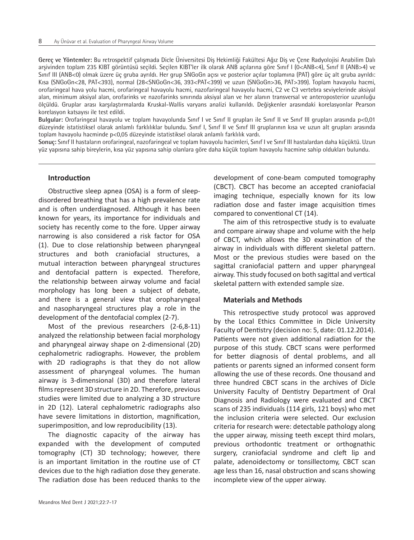**Gereç ve Yöntemler:** Bu retrospektif çalışmada Dicle Üniversitesi Diş Hekimliği Fakültesi Ağız Diş ve Çene Radyolojisi Anabilim Dalı arşivinden toplam 235 KIBT görüntüsü seçildi. Seçilen KIBT'ler ilk olarak ANB açılarına göre Sınıf I (0<ANB<4), Sınıf II (ANB>4) ve Sınıf III (ANB<0) olmak üzere üç gruba ayrıldı. Her grup SNGoGn açısı ve posterior açılar toplamına (PAT) göre üç alt gruba ayrıldı: Kısa (SNGoGn<28, PAT<393), normal (28<SNGoGn<36, 393<PAT<399) ve uzun (SNGoGn>36, PAT>399). Toplam havayolu hacmi, orofaringeal hava yolu hacmi, orofaringeal havayolu hacmi, nazofaringeal havayolu hacmi, C2 ve C3 vertebra seviyelerinde aksiyal alan, minimum aksiyal alan, orofarinks ve nazofarinks sınırında aksiyal alan ve her alanın transversal ve anteroposterior uzunluğu ölçüldü. Gruplar arası karşılaştırmalarda Kruskal-Wallis varyans analizi kullanıldı. Değişkenler arasındaki korelasyonlar Pearson korelasyon katsayısı ile test edildi.

**Bulgular:** Orofaringeal havayolu ve toplam havayolunda Sınıf I ve Sınıf II grupları ile Sınıf II ve Sınıf III grupları arasında p<0,01 düzeyinde istatistiksel olarak anlamlı farklılıklar bulundu. Sınıf I, Sınıf II ve Sınıf III gruplarının kısa ve uzun alt grupları arasında toplam havayolu hacminde p<0,05 düzeyinde istatistiksel olarak anlamlı farklılık vardı.

**Sonuç:** Sınıf II hastaların orofaringeal, nazofaringeal ve toplam havayolu hacimleri, Sınıf I ve Sınıf III hastalardan daha küçüktü. Uzun yüz yapısına sahip bireylerin, kısa yüz yapısına sahip olanlara göre daha küçük toplam havayolu hacmine sahip oldukları bulundu.

# **Introduction**

Obstructive sleep apnea (OSA) is a form of sleepdisordered breathing that has a high prevalence rate and is often underdiagnosed. Although it has been known for years, its importance for individuals and society has recently come to the fore. Upper airway narrowing is also considered a risk factor for OSA (1). Due to close relationship between pharyngeal structures and both craniofacial structures, a mutual interaction between pharyngeal structures and dentofacial pattern is expected. Therefore, the relationship between airway volume and facial morphology has long been a subject of debate, and there is a general view that oropharyngeal and nasopharyngeal structures play a role in the development of the dentofacial complex (2-7).

Most of the previous researchers (2-6,8-11) analyzed the relationship between facial morphology and pharyngeal airway shape on 2-dimensional (2D) cephalometric radiographs. However, the problem with 2D radiographs is that they do not allow assessment of pharyngeal volumes. The human airway is 3-dimensional (3D) and therefore lateral films represent 3D structure in 2D. Therefore, previous studies were limited due to analyzing a 3D structure in 2D (12). Lateral cephalometric radiographs also have severe limitations in distortion, magnification, superimposition, and low reproducibility (13).

The diagnostic capacity of the airway has expanded with the development of computed tomography (CT) 3D technology; however, there is an important limitation in the routine use of CT devices due to the high radiation dose they generate. The radiation dose has been reduced thanks to the

development of cone-beam computed tomography (CBCT). CBCT has become an accepted craniofacial imaging technique, especially known for its low radiation dose and faster image acquisition times compared to conventional CT (14).

The aim of this retrospective study is to evaluate and compare airway shape and volume with the help of CBCT, which allows the 3D examination of the airway in individuals with different skeletal pattern. Most or the previous studies were based on the sagittal craniofacial pattern and upper pharyngeal airway. This study focused on both sagittal and vertical skeletal pattern with extended sample size.

#### **Materials and Methods**

This retrospective study protocol was approved by the Local Ethics Committee in Dicle University Faculty of Dentistry (decision no: 5, date: 01.12.2014). Patients were not given additional radiation for the purpose of this study. CBCT scans were performed for better diagnosis of dental problems, and all patients or parents signed an informed consent form allowing the use of these records. One thousand and three hundred CBCT scans in the archives of Dicle University Faculty of Dentistry Department of Oral Diagnosis and Radiology were evaluated and CBCT scans of 235 individuals (114 girls, 121 boys) who met the inclusion criteria were selected. Our exclusion criteria for research were: detectable pathology along the upper airway, missing teeth except third molars, previous orthodontic treatment or orthognathic surgery, craniofacial syndrome and cleft lip and palate, adenoidectomy or tonsillectomy, CBCT scan age less than 16, nasal obstruction and scans showing incomplete view of the upper airway.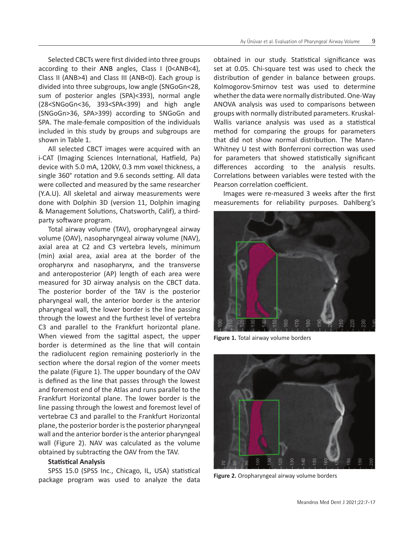Selected CBCTs were first divided into three groups according to their ANB angles, Class I (0<ANB<4), Class II (ANB>4) and Class III (ANB<0). Each group is divided into three subgroups, low angle (SNGoGn<28, sum of posterior angles (SPA)<393), normal angle (28<SNGoGn<36, 393<SPA<399) and high angle (SNGoGn>36, SPA>399) according to SNGoGn and SPA. The male-female composition of the individuals included in this study by groups and subgroups are shown in Table 1.

All selected CBCT images were acquired with an i-CAT (Imaging Sciences International, Hatfield, Pa) device with 5.0 mA, 120kV, 0.3 mm voxel thickness, a single 360° rotation and 9.6 seconds setting. All data were collected and measured by the same researcher (Y.A.U). All skeletal and airway measurements were done with Dolphin 3D (version 11, Dolphin imaging & Management Solutions, Chatsworth, Calif), a thirdparty software program.

Total airway volume (TAV), oropharyngeal airway volume (OAV), nasopharyngeal airway volume (NAV), axial area at C2 and C3 vertebra levels, minimum (min) axial area, axial area at the border of the oropharynx and nasopharynx, and the transverse and anteroposterior (AP) length of each area were measured for 3D airway analysis on the CBCT data. The posterior border of the TAV is the posterior pharyngeal wall, the anterior border is the anterior pharyngeal wall, the lower border is the line passing through the lowest and the furthest level of vertebra C3 and parallel to the Frankfurt horizontal plane. When viewed from the sagittal aspect, the upper border is determined as the line that will contain the radiolucent region remaining posteriorly in the section where the dorsal region of the vomer meets the palate (Figure 1). The upper boundary of the OAV is defined as the line that passes through the lowest and foremost end of the Atlas and runs parallel to the Frankfurt Horizontal plane. The lower border is the line passing through the lowest and foremost level of vertebrae C3 and parallel to the Frankfurt Horizontal plane, the posterior border is the posterior pharyngeal wall and the anterior border is the anterior pharyngeal wall (Figure 2). NAV was calculated as the volume obtained by subtracting the OAV from the TAV.

#### **Statistical Analysis**

SPSS 15.0 (SPSS Inc., Chicago, IL, USA) statistical package program was used to analyze the data

obtained in our study. Statistical significance was set at 0.05. Chi-square test was used to check the distribution of gender in balance between groups. Kolmogorov-Smirnov test was used to determine whether the data were normally distributed. One-Way ANOVA analysis was used to comparisons between groups with normally distributed parameters. Kruskal-Wallis variance analysis was used as a statistical method for comparing the groups for parameters that did not show normal distribution. The Mann-Whitney U test with Bonferroni correction was used for parameters that showed statistically significant differences according to the analysis results. Correlations between variables were tested with the Pearson correlation coefficient.

Images were re-measured 3 weeks after the first measurements for reliability purposes. Dahlberg's



**Figure 1.** Total airway volume borders



**Figure 2.** Oropharyngeal airway volume borders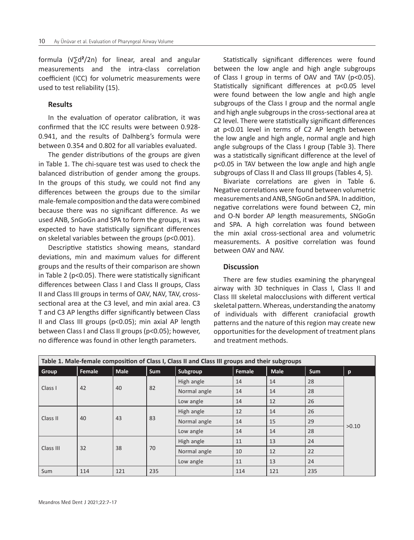formula (√∑d**²**/2n) for linear, areal and angular measurements and the intra-class correlation coefficient (ICC) for volumetric measurements were used to test reliability (15).

# **Results**

In the evaluation of operator calibration, it was confirmed that the ICC results were between 0.928- 0.941, and the results of Dalhberg's formula were between 0.354 and 0.802 for all variables evaluated.

The gender distributions of the groups are given in Table 1. The chi-square test was used to check the balanced distribution of gender among the groups. In the groups of this study, we could not find any differences between the groups due to the similar male-female composition and the data were combined because there was no significant difference. As we used ANB, SnGoGn and SPA to form the groups, it was expected to have statistically significant differences on skeletal variables between the groups (p<0.001).

Descriptive statistics showing means, standard deviations, min and maximum values for different groups and the results of their comparison are shown in Table 2 (p<0.05). There were statistically significant differences between Class I and Class II groups, Class II and Class III groups in terms of OAV, NAV, TAV, crosssectional area at the C3 level, and min axial area. C3 T and C3 AP lengths differ significantly between Class II and Class III groups (p<0.05); min axial AP length between Class I and Class II groups (p<0.05); however, no difference was found in other length parameters.

Statistically significant differences were found between the low angle and high angle subgroups of Class I group in terms of OAV and TAV (p<0.05). Statistically significant differences at p<0.05 level were found between the low angle and high angle subgroups of the Class I group and the normal angle and high angle subgroups in the cross-sectional area at C2 level. There were statistically significant differences at p<0.01 level in terms of C2 AP length between the low angle and high angle, normal angle and high angle subgroups of the Class I group (Table 3). There was a statistically significant difference at the level of p<0.05 in TAV between the low angle and high angle subgroups of Class II and Class III groups (Tables 4, 5).

Bivariate correlations are given in Table 6. Negative correlations were found between volumetric measurements and ANB, SNGoGn and SPA. In addition, negative correlations were found between C2, min and O-N border AP length measurements, SNGoGn and SPA. A high correlation was found between the min axial cross-sectional area and volumetric measurements. A positive correlation was found between OAV and NAV.

# **Discussion**

There are few studies examining the pharyngeal airway with 3D techniques in Class I, Class II and Class III skeletal malocclusions with different vertical skeletal pattern. Whereas, understanding the anatomy of individuals with different craniofacial growth patterns and the nature of this region may create new opportunities for the development of treatment plans and treatment methods.

|           |        |             |     | Table 1. Male-female composition of Class I, Class II and Class III groups and their subgroups |        |             |            |       |
|-----------|--------|-------------|-----|------------------------------------------------------------------------------------------------|--------|-------------|------------|-------|
| Group     | Female | <b>Male</b> | Sum | Subgroup                                                                                       | Female | <b>Male</b> | <b>Sum</b> | p     |
|           |        |             |     | High angle                                                                                     | 14     | 14          | 28         |       |
| Class I   | 42     | 40<br>43    | 82  | Normal angle                                                                                   | 14     | 14          | 28         |       |
|           |        |             |     | Low angle                                                                                      | 14     | 12          | 26         |       |
| Class II  | 40     |             |     | High angle                                                                                     | 12     | 14          | 26         |       |
|           |        |             | 83  | Normal angle                                                                                   | 14     | 15          | 29         | >0.10 |
|           |        |             |     | Low angle                                                                                      | 14     | 14          | 28         |       |
|           | 32     | 38          | 70  | High angle                                                                                     | 11     | 13          | 24         |       |
| Class III |        |             |     | Normal angle                                                                                   | 10     | 12          | 22         |       |
|           |        |             |     | Low angle                                                                                      | 11     | 13          | 24         |       |
| Sum       | 114    | 121         | 235 |                                                                                                | 114    | 121         | 235        |       |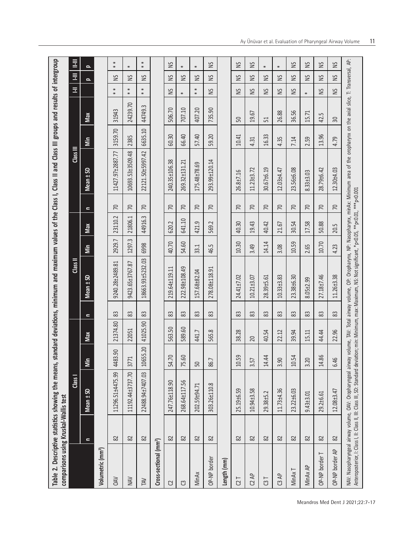| comparisons using Kruskal-Wallis test |          | Table 2. Descriptive statistics showing the means,                                                                                                                                                                                                                                                                                                                                  |                |          |                |                  |        |         |                 | standard deviations, minimum and maximum values of the Class I, Class II and Class III groups and results of intergroup |         |          |                  |          |                  |
|---------------------------------------|----------|-------------------------------------------------------------------------------------------------------------------------------------------------------------------------------------------------------------------------------------------------------------------------------------------------------------------------------------------------------------------------------------|----------------|----------|----------------|------------------|--------|---------|-----------------|-------------------------------------------------------------------------------------------------------------------------|---------|----------|------------------|----------|------------------|
|                                       |          | Class I                                                                                                                                                                                                                                                                                                                                                                             |                |          |                | Class II         |        |         |                 | Class III                                                                                                               |         |          | Ξ                | E        | Ī                |
|                                       | $\equiv$ | Mean ± SD                                                                                                                                                                                                                                                                                                                                                                           | İm             | Max      | $\blacksquare$ | Mean ± SD        | İm     | Max     | $\mathbf{r}$    | Mean ± SD                                                                                                               | im      | Max      |                  | $\Omega$ | $\Omega$         |
| Volumetric (mm <sup>3</sup> )         |          |                                                                                                                                                                                                                                                                                                                                                                                     |                |          |                |                  |        |         |                 |                                                                                                                         |         |          |                  |          |                  |
| <b>OAV</b>                            | 82       | 11296.51±4475.99                                                                                                                                                                                                                                                                                                                                                                    | 4483.90        | 21374.80 | 83             | 9240.28±2489.81  | 2929.7 | 23110.2 | $\overline{C}$  | 11427.97±2887.77                                                                                                        | 3159.70 | 31943    | $\ast$<br>$\ast$ | SN       | $*$              |
| NAV                                   | 82       | 11192.44±3737.70                                                                                                                                                                                                                                                                                                                                                                    | 377            | 22051    | 83             | 9423.65±3767.87  | 1297.3 | 21806.1 | $\overline{70}$ | 10693.53±3509.48                                                                                                        | 2385    | 24239.70 | $\ast$<br>$\ast$ | S        | ₩                |
| <b>NYL</b>                            | 82       | 22488.94±7407.03                                                                                                                                                                                                                                                                                                                                                                    | 55.20<br>106   | 41025.90 | 83             | 18663.93±5232.03 | 6998   | 44916.3 | $\sqrt{2}$      | 22121.50±5997.42                                                                                                        | 6635.10 | 44749.3  | $\ast$<br>$\ast$ | S        | $\ast$<br>$\ast$ |
| Cross-sectional (mm <sup>2</sup> )    |          |                                                                                                                                                                                                                                                                                                                                                                                     |                |          |                |                  |        |         |                 |                                                                                                                         |         |          |                  |          |                  |
| C                                     | 82       | 247.76±118.90                                                                                                                                                                                                                                                                                                                                                                       | $\cup$<br>54.7 | 563.50   | 83             | 219.64±119.11    | 40.70  | 620.2   | $\overline{70}$ | 240.35±106.38                                                                                                           | 60.30   | 506.70   | S                | S        | S                |
| ෆ                                     | 82       | 268.64±117.56                                                                                                                                                                                                                                                                                                                                                                       | 75.60          | 589.60   | 83             | 222.98±108.49    | 54.60  | 641.10  | $\overline{C}$  | 269.32±131.21                                                                                                           | 66.40   | 707.10   | $\ast$           | Š        | $\ast$           |
| MinAx                                 | 82       | 202.59±94.71                                                                                                                                                                                                                                                                                                                                                                        | 50             | 441.7    | 83             | 157.68±82.04     | 33.1   | 421.9   | $\overline{70}$ | 175.48±78.69                                                                                                            | 57.40   | 407.20   | $\ast$<br>$\ast$ | S        | $\ast$           |
| OP-NP border                          | 82       | 303.26±110.8                                                                                                                                                                                                                                                                                                                                                                        | 86.7           | 565.8    | 83             | 278.08±118.91    | 46.5   | 569.2   | $\sqrt{2}$      | 293.99±120.14                                                                                                           | 59.20   | 735.90   | S                | SN       | S                |
| Length (mm)                           |          |                                                                                                                                                                                                                                                                                                                                                                                     |                |          |                |                  |        |         |                 |                                                                                                                         |         |          |                  |          |                  |
| C2                                    | 82       | 25.19±6.59                                                                                                                                                                                                                                                                                                                                                                          | Ğ<br>10.5      | 38.28    | 83             | 24.41±7.02       | 10.30  | 40.30   | $\sqrt{2}$      | 26.8±7.16                                                                                                               | 10.41   | 50       | S                | S        | S                |
| C2AP                                  | 82       | 10.94±3.58                                                                                                                                                                                                                                                                                                                                                                          | 3.57           | 20       | 83             | 10.21±3.07       | 3.49   | 19.43   | 70              | 11.23±3.72                                                                                                              | 4.31    | 19.67    | S                | SN       | S                |
| $\overline{c}$                        | 82       | 29.38±5.2                                                                                                                                                                                                                                                                                                                                                                           | 4<br>14.4      | 40.54    | 83             | 28.39±5.61       | 14.14  | 40.42   | $\overline{70}$ | 30.67±6.19                                                                                                              | 16.33   | 51       | S                | S        | $\ast$           |
| C3 AP                                 | 82       | 11.73±4.36                                                                                                                                                                                                                                                                                                                                                                          | 3.90           | 22.12    | 83             | 10.33±3.83       | 3.08   | 21.67   | $\sqrt{2}$      | 12.03±4.47                                                                                                              | 4.35    | 26.88    | S                | S        | ₩                |
| MinAx T                               | 82       | 23.22±6.03                                                                                                                                                                                                                                                                                                                                                                          | 10.54          | 39.94    | 83             | 23.38±6.30       | 10.59  | 30.54   | $\sqrt{2}$      | 23.56±6.08                                                                                                              | 7.14    | 36.56    | S                | Š        | S                |
| MinAx AP                              | 82       | 9.43±3.01                                                                                                                                                                                                                                                                                                                                                                           | 3.20           | 15.11    | 83             | 8.05±2.99        | 2.65   | 17.58   | $\overline{70}$ | 8.33±3.03                                                                                                               | 2.59    | 15.71    | $\ast$           | S        | S                |
| OP-NP border T                        | 82       | 29.2±6.61                                                                                                                                                                                                                                                                                                                                                                           | ڡۣ<br>14.8     | 44.44    | 83             | 27.18±7.46       | 10.70  | 50.88   | 70              | 28.79±6.42                                                                                                              | 13.96   | 42.5     | SN               | Š        | SN               |
| OP-NP border AP                       | 82       | 12.08±3.47                                                                                                                                                                                                                                                                                                                                                                          | 6.46           | 22.96    | 83             | 11.26±3.38       | 4.23   | 20.5    | $\overline{70}$ | 12.30±4.03                                                                                                              | 4.79    | 30       | S                | S        | S                |
|                                       |          | NAV: Nasopharyngeal airway volume, OAV: Oropharyngeal airway volume, TAV: Total airway volume, OP: Oropharynx, NP: Nasopharynx, minAx: Minimum area of the oropharynx on the axial slice, T: Transversal, AP:<br>Anteroposterior, I: Class I, II: Class II, III: Class III, SD: Standard deviation; min: Minimum, max: Maximum, NS: Not significant, *p<0.05, **p<0.01, ****p<0.001 |                |          |                |                  |        |         |                 |                                                                                                                         |         |          |                  |          |                  |

Meandros Med Dent J 2021;22:7-17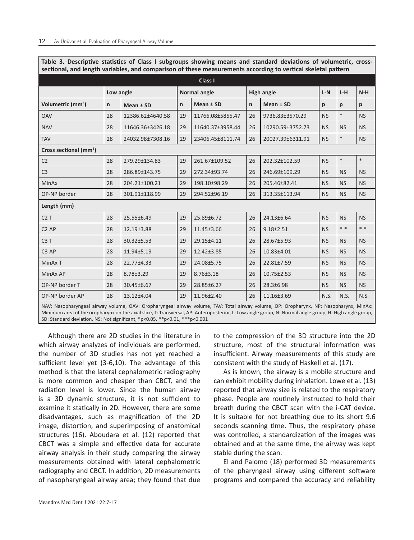| Secubrial, and length variables, and comparison of these measurements according to vertical skeletal pattern |           |                  |    |                     |    |                   |           |           |           |  |  |
|--------------------------------------------------------------------------------------------------------------|-----------|------------------|----|---------------------|----|-------------------|-----------|-----------|-----------|--|--|
| Class I                                                                                                      |           |                  |    |                     |    |                   |           |           |           |  |  |
|                                                                                                              | Low angle |                  |    | <b>Normal angle</b> |    | <b>High angle</b> | $L-N$     | $L-H$     | $N-H$     |  |  |
| Volumetric (mm <sup>3</sup> )                                                                                | n         | Mean ± SD        | n  | Mean ± SD           | n  | Mean ± SD         | р         | р         | p         |  |  |
| <b>OAV</b>                                                                                                   | 28        | 12386.62±4640.58 | 29 | 11766.08±5855.47    | 26 | 9736.83±3570.29   | <b>NS</b> | $\ast$    | <b>NS</b> |  |  |
| <b>NAV</b>                                                                                                   | 28        | 11646.36±3426.18 | 29 | 11640.37±3958.44    | 26 | 10290.59±3752.73  | <b>NS</b> | <b>NS</b> | <b>NS</b> |  |  |
| <b>TAV</b>                                                                                                   | 28        | 24032.98±7308.16 | 29 | 23406.45±8111.74    | 26 | 20027.39±6311.91  | <b>NS</b> | $\ast$    | <b>NS</b> |  |  |
| Cross sectional (mm <sup>2</sup> )                                                                           |           |                  |    |                     |    |                   |           |           |           |  |  |
| C <sub>2</sub>                                                                                               | 28        | 279.29±134.83    | 29 | 261.67±109.52       | 26 | 202.32±102.59     | <b>NS</b> | $\ast$    | $\ast$    |  |  |
| C <sub>3</sub>                                                                                               | 28        | 286.89±143.75    | 29 | 272.34±93.74        | 26 | 246.69±109.29     | <b>NS</b> | <b>NS</b> | <b>NS</b> |  |  |
| <b>MinAx</b>                                                                                                 | 28        | 204.21±100.21    | 29 | 198.10±98.29        | 26 | 205.46±82.41      | <b>NS</b> | <b>NS</b> | <b>NS</b> |  |  |
| OP-NP border                                                                                                 | 28        | 301.91±118.99    | 29 | 294.52±96.19        | 26 | 313.35±113.94     | <b>NS</b> | NS        | <b>NS</b> |  |  |
| Length (mm)                                                                                                  |           |                  |    |                     |    |                   |           |           |           |  |  |
| C2T                                                                                                          | 28        | 25.55±6.49       | 29 | 25.89±6.72          | 26 | 24.13±6.64        | <b>NS</b> | <b>NS</b> | <b>NS</b> |  |  |
| C <sub>2</sub> AP                                                                                            | 28        | 12.19±3.88       | 29 | 11.45±3.66          | 26 | $9.18 \pm 2.51$   | <b>NS</b> | * *       | $* *$     |  |  |
| C <sub>3</sub> T                                                                                             | 28        | 30.32±5.53       | 29 | 29.15±4.11          | 26 | 28.67±5.93        | <b>NS</b> | <b>NS</b> | <b>NS</b> |  |  |
| C <sub>3</sub> AP                                                                                            | 28        | 11.94±5.19       | 29 | 12.42±3.85          | 26 | 10.83±4.01        | <b>NS</b> | <b>NS</b> | <b>NS</b> |  |  |
| MinAx T                                                                                                      | 28        | 22.77±4.33       | 29 | 24.08±5.75          | 26 | 22.81±7.59        | <b>NS</b> | <b>NS</b> | <b>NS</b> |  |  |
| MinAx AP                                                                                                     | 28        | 8.78±3.29        | 29 | $8.76 \pm 3.18$     | 26 | $10.75 \pm 2.53$  | <b>NS</b> | <b>NS</b> | <b>NS</b> |  |  |
| OP-NP border T                                                                                               | 28        | 30.45±6.67       | 29 | 28.85±6.27          | 26 | 28.3±6.98         | <b>NS</b> | <b>NS</b> | <b>NS</b> |  |  |
| OP-NP border AP                                                                                              | 28        | 13.12±4.04       | 29 | 11.96±2.40          | 26 | 11.16±3.69        | N.S.      | N.S.      | N.S.      |  |  |
|                                                                                                              |           |                  |    |                     |    |                   |           |           |           |  |  |

**Table 3. Descriptive statistics of Class I subgroups showing means and standard deviations of volumetric, crosssectional, and length variables, and comparison of these measurements according to vertical skeletal pattern**

NAV: Nasopharyngeal airway volume, OAV: Oropharyngeal airway volume, TAV: Total airway volume, OP: Oropharynx, NP: Nasopharynx, MinAx: Minimum area of the oropharynx on the axial slice, T: Transversal, AP: Anteroposterior, L: Low angle group, N: Normal angle group, H: High angle group, SD: Standard deviation, NS: Not significant, \*p<0.05, \*\*p<0.01, \*\*\*p<0.001

Although there are 2D studies in the literature in which airway analyzes of individuals are performed, the number of 3D studies has not yet reached a sufficient level yet (3-6,10). The advantage of this method is that the lateral cephalometric radiography is more common and cheaper than CBCT, and the radiation level is lower. Since the human airway is a 3D dynamic structure, it is not sufficient to examine it statically in 2D. However, there are some disadvantages, such as magnification of the 2D image, distortion, and superimposing of anatomical structures (16). Aboudara et al. (12) reported that CBCT was a simple and effective data for accurate airway analysis in their study comparing the airway measurements obtained with lateral cephalometric radiography and CBCT. In addition, 2D measurements of nasopharyngeal airway area; they found that due

to the compression of the 3D structure into the 2D structure, most of the structural information was insufficient. Airway measurements of this study are consistent with the study of Haskell et al. (17).

As is known, the airway is a mobile structure and can exhibit mobility during inhalation. Lowe et al. (13) reported that airway size is related to the respiratory phase. People are routinely instructed to hold their breath during the CBCT scan with the i-CAT device. It is suitable for not breathing due to its short 9.6 seconds scanning time. Thus, the respiratory phase was controlled, a standardization of the images was obtained and at the same time, the airway was kept stable during the scan.

El and Palomo (18) performed 3D measurements of the pharyngeal airway using different software programs and compared the accuracy and reliability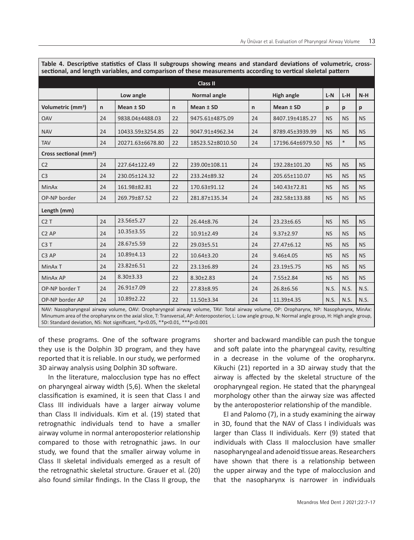| sectional, and length variables, and comparison of these measurements according to vertical skeletal pattern |    |                  |    |                                                                                                                                        |              |                   |           |           |           |  |  |
|--------------------------------------------------------------------------------------------------------------|----|------------------|----|----------------------------------------------------------------------------------------------------------------------------------------|--------------|-------------------|-----------|-----------|-----------|--|--|
|                                                                                                              |    |                  |    | <b>Class II</b>                                                                                                                        |              |                   |           |           |           |  |  |
|                                                                                                              |    | Low angle        |    | Normal angle                                                                                                                           |              | <b>High angle</b> | $L-N$     | $L-H$     | $N-H$     |  |  |
| Volumetric (mm <sup>3</sup> )                                                                                | n  | Mean ± SD        | n  | Mean ± SD                                                                                                                              | $\mathsf{n}$ | Mean ± SD         | p         | p         | p         |  |  |
| <b>OAV</b>                                                                                                   | 24 | 9838.04±4488.03  | 22 | 9475.61±4875.09                                                                                                                        | 24           | 8407.19±4185.27   | <b>NS</b> | <b>NS</b> | <b>NS</b> |  |  |
| <b>NAV</b>                                                                                                   | 24 | 10433.59±3254.85 | 22 | 9047.91±4962.34                                                                                                                        | 24           | 8789.45±3939.99   | <b>NS</b> | <b>NS</b> | <b>NS</b> |  |  |
| <b>TAV</b>                                                                                                   | 24 | 20271.63±6678.80 | 22 | 18523.52±8010.50                                                                                                                       | 24           | 17196.64±6979.50  | <b>NS</b> | $\ast$    | <b>NS</b> |  |  |
| Cross sectional (mm <sup>2</sup> )                                                                           |    |                  |    |                                                                                                                                        |              |                   |           |           |           |  |  |
| C <sub>2</sub>                                                                                               | 24 | 227.64±122.49    | 22 | 239.00±108.11                                                                                                                          | 24           | 192.28±101.20     | <b>NS</b> | <b>NS</b> | <b>NS</b> |  |  |
| C <sub>3</sub>                                                                                               | 24 | 230.05±124.32    | 22 | 233.24±89.32                                                                                                                           | 24           | 205.65±110.07     | <b>NS</b> | <b>NS</b> | <b>NS</b> |  |  |
| <b>MinAx</b>                                                                                                 | 24 | 161.98±82.81     | 22 | 170.63±91.12                                                                                                                           | 24           | 140.43±72.81      | <b>NS</b> | <b>NS</b> | <b>NS</b> |  |  |
| OP-NP border                                                                                                 | 24 | 269.79±87.52     | 22 | 281.87±135.34                                                                                                                          | 24           | 282.58±133.88     | <b>NS</b> | <b>NS</b> | <b>NS</b> |  |  |
| Length (mm)                                                                                                  |    |                  |    |                                                                                                                                        |              |                   |           |           |           |  |  |
| C2T                                                                                                          | 24 | 23.56±5.27       | 22 | 26.44±8.76                                                                                                                             | 24           | 23.23±6.65        | <b>NS</b> | <b>NS</b> | <b>NS</b> |  |  |
| C <sub>2</sub> AP                                                                                            | 24 | $10.35 \pm 3.55$ | 22 | $10.91 \pm 2.49$                                                                                                                       | 24           | $9.37 \pm 2.97$   | <b>NS</b> | <b>NS</b> | <b>NS</b> |  |  |
| C <sub>3</sub> T                                                                                             | 24 | 28.67±5.59       | 22 | 29.03±5.51                                                                                                                             | 24           | 27.47±6.12        | <b>NS</b> | <b>NS</b> | <b>NS</b> |  |  |
| C3 AP                                                                                                        | 24 | 10.89±4.13       | 22 | $10.64 \pm 3.20$                                                                                                                       | 24           | 9.46±4.05         | <b>NS</b> | NS        | <b>NS</b> |  |  |
| MinAx T                                                                                                      | 24 | 23.82±6.51       | 22 | 23.13±6.89                                                                                                                             | 24           | 23.19±5.75        | <b>NS</b> | <b>NS</b> | <b>NS</b> |  |  |
| MinAx AP                                                                                                     | 24 | 8.30±3.33        | 22 | $8.30 \pm 2.83$                                                                                                                        | 24           | 7.55±2.84         | <b>NS</b> | <b>NS</b> | <b>NS</b> |  |  |
| OP-NP border T                                                                                               | 24 | 26.91±7.09       | 22 | 27.83±8.95                                                                                                                             | 24           | 26.8±6.56         | N.S.      | N.S.      | N.S.      |  |  |
| OP-NP border AP                                                                                              | 24 | 10.89±2.22       | 22 | 11.50±3.34                                                                                                                             | 24           | 11.39±4.35        | N.S.      | N.S.      | N.S.      |  |  |
|                                                                                                              |    |                  |    | NAV; Nasonharyngeal airway volume. OAV; Oronharyngeal airway volume. TAV; Total airway volume. OP; Oronharynx, NP; Nasonharynx, MinAx; |              |                   |           |           |           |  |  |

**Table 4. Descriptive statistics of Class II subgroups showing means and standard deviations of volumetric, crosssectional, and length variables, and comparison of these measurements according to vertical skeletal pattern**

NAV: Nasopharyngeal airway volume, OAV: Oropharyngeal airway volume, TAV: Total airway volume, OP: Oropharynx, NP: Nasopharynx, MinAx: Minumum area of the oropharynx on the axial slice, T: Transversal, AP: Anteroposterior, L: Low angle group, N: Normal angle group, H: High angle group, SD: Standard deviation, NS: Not significant, \*p<0.05, \*\*p<0.01, \*\*\*p<0.001

of these programs. One of the software programs they use is the Dolphin 3D program, and they have reported that it is reliable. In our study, we performed 3D airway analysis using Dolphin 3D software.

In the literature, malocclusion type has no effect on pharyngeal airway width (5,6). When the skeletal classification is examined, it is seen that Class I and Class III individuals have a larger airway volume than Class II individuals. Kim et al. (19) stated that retrognathic individuals tend to have a smaller airway volume in normal anteroposterior relationship compared to those with retrognathic jaws. In our study, we found that the smaller airway volume in Class II skeletal individuals emerged as a result of the retrognathic skeletal structure. Grauer et al. (20) also found similar findings. In the Class II group, the

shorter and backward mandible can push the tongue and soft palate into the pharyngeal cavity, resulting in a decrease in the volume of the oropharynx. Kikuchi (21) reported in a 3D airway study that the airway is affected by the skeletal structure of the oropharyngeal region. He stated that the pharyngeal morphology other than the airway size was affected by the anteroposterior relationship of the mandible.

El and Palomo (7), in a study examining the airway in 3D, found that the NAV of Class I individuals was larger than Class II individuals. Kerr (9) stated that individuals with Class II malocclusion have smaller nasopharyngeal and adenoid tissue areas. Researchers have shown that there is a relationship between the upper airway and the type of malocclusion and that the nasopharynx is narrower in individuals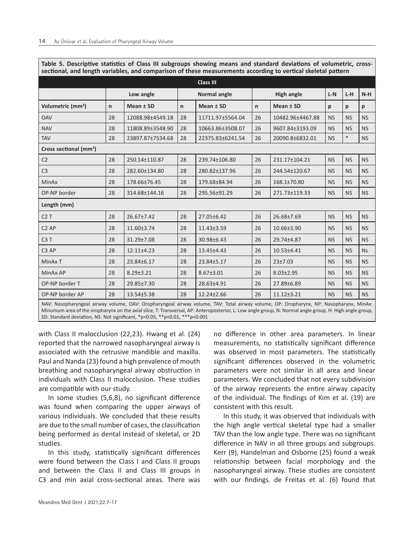|                                    |              |                  |              | <b>Class III</b>    |              |                   |           |           |           |
|------------------------------------|--------------|------------------|--------------|---------------------|--------------|-------------------|-----------|-----------|-----------|
|                                    |              | Low angle        |              | <b>Normal angle</b> |              | <b>High angle</b> | $L-N$     | L-H       | $N-H$     |
| Volumetric (mm <sup>3</sup> )      | $\mathsf{n}$ | Mean ± SD        | $\mathsf{n}$ | Mean ± SD           | $\mathsf{n}$ | Mean ± SD         | p         | p         | p         |
| <b>OAV</b>                         | 28           | 12088.98±4549.18 | 28           | 11711.97±5564.04    | 26           | 10482.96±4467.88  | <b>NS</b> | <b>NS</b> | <b>NS</b> |
| <b>NAV</b>                         | 28           | 11808.89±3548.90 | 28           | 10663.86±3508.07    | 26           | 9607.84±3193.09   | <b>NS</b> | <b>NS</b> | <b>NS</b> |
| <b>TAV</b>                         | 28           | 23897.87±7534.68 | 28           | 22375.83±6241.54    | 26           | 20090.8±6832.01   | <b>NS</b> | $\ast$    | <b>NS</b> |
| Cross sectional (mm <sup>2</sup> ) |              |                  |              |                     |              |                   |           |           |           |
| C <sub>2</sub>                     | 28           | 250.14±110.87    | 28           | 239.74±106.80       | 26           | 231.17±104.21     | <b>NS</b> | <b>NS</b> | <b>NS</b> |
| C <sub>3</sub>                     | 28           | 282.60±134.80    | 28           | 280.82±137.96       | 26           | 244.54±120.67     | <b>NS</b> | <b>NS</b> | <b>NS</b> |
| MinAx                              | 28           | 178.66±76.45     | 28           | 179.68±84.94        | 26           | 168.1±70.80       | <b>NS</b> | <b>NS</b> | <b>NS</b> |
| OP-NP border                       | 28           | 314.68±144.16    | 28           | 295.56±91.29        | 26           | 271.73±119.33     | <b>NS</b> | <b>NS</b> | <b>NS</b> |
| Length (mm)                        |              |                  |              |                     |              |                   |           |           |           |
| C2T                                | 28           | 26.67±7.42       | 28           | 27.05±6.42          | 26           | 26.68±7.69        | <b>NS</b> | <b>NS</b> | <b>NS</b> |
| C <sub>2</sub> AP                  | 28           | 11.60±3.74       | 28           | $11.43 \pm 3.59$    | 26           | 10.66±3.90        | <b>NS</b> | <b>NS</b> | <b>NS</b> |
| C <sub>3</sub> T                   | 28           | 31.29±7.08       | 28           | 30.98±6.43          | 26           | 29.74±4.87        | <b>NS</b> | <b>NS</b> | <b>NS</b> |
| C <sub>3</sub> AP                  | 28           | 12.11±4.23       | 28           | 13.45±4.43          | 26           | 10.53±4.41        | <b>NS</b> | <b>NS</b> | <b>Ns</b> |
| MinAx T                            | 28           | 23.84±6.17       | 28           | 23.84±5.17          | 26           | 23±7.03           | <b>NS</b> | <b>NS</b> | <b>NS</b> |
| MinAx AP                           | 28           | $8.29 \pm 3.21$  | 28           | $8.67 \pm 3.01$     | 26           | $8.03 \pm 2.95$   | <b>NS</b> | <b>NS</b> | <b>NS</b> |
| OP-NP border T                     | 28           | 29.85±7.30       | 28           | 28.63±4.91          | 26           | 27.89±6.89        | <b>NS</b> | <b>NS</b> | <b>NS</b> |
| OP-NP border AP                    | 28           | 13.54±5.38       | 28           | 12.24±2.66          | 26           | $11.12 \pm 3.21$  | <b>NS</b> | <b>NS</b> | <b>NS</b> |

**Table 5. Descriptive statistics of Class III subgroups showing means and standard deviations of volumetric, crosssectional, and length variables, and comparison of these measurements according to vertical skeletal pattern**

NAV: Nasopharyngeal airway volume, OAV: Oropharyngeal airway volume, TAV: Total airway volume, OP: Oropharynx, NP: Nasopharynx, MinAx: Minumum area of the oropharynx on the axial slice, T: Transversal, AP: Anteroposterior, L: Low angle group, N: Normal angle group, H: High angle group, SD: Standard deviation, NS: Not significant, \*p<0.05, \*\*p<0.01, \*\*\*p<0.001

with Class II malocclusion (22,23). Hwang et al. (24) reported that the narrowed nasopharyngeal airway is associated with the retrusive mandible and maxilla. Paul and Nanda (23) found a high prevalence of mouth breathing and nasopharyngeal airway obstruction in individuals with Class II malocclusion. These studies are compatible with our study.

In some studies (5,6,8), no significant difference was found when comparing the upper airways of various individuals. We concluded that these results are due to the small number of cases, the classification being performed as dental instead of skeletal, or 2D studies.

In this study, statistically significant differences were found between the Class I and Class II groups and between the Class II and Class III groups in C3 and min axial cross-sectional areas. There was

no difference in other area parameters. In linear measurements, no statistically significant difference was observed in most parameters. The statistically significant differences observed in the volumetric parameters were not similar in all area and linear parameters. We concluded that not every subdivision of the airway represents the entire airway capacity of the individual. The findings of Kim et al. (19) are consistent with this result.

In this study, it was observed that individuals with the high angle vertical skeletal type had a smaller TAV than the low angle type. There was no significant difference in NAV in all three groups and subgroups. Kerr (9), Handelman and Osborne (25) found a weak relationship between facial morphology and the nasopharyngeal airway. These studies are consistent with our findings. de Freitas et al. (6) found that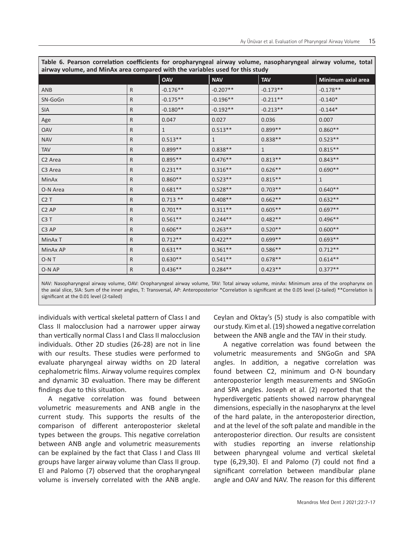| airway volume, and MinAx area compared with the variables used for this study |              |              |              |                    |  |  |  |  |  |  |
|-------------------------------------------------------------------------------|--------------|--------------|--------------|--------------------|--|--|--|--|--|--|
|                                                                               | <b>OAV</b>   | <b>NAV</b>   | <b>TAV</b>   | Minimum axial area |  |  |  |  |  |  |
| $\mathsf{R}$                                                                  | $-0.176**$   | $-0.207**$   | $-0.173**$   | $-0.178**$         |  |  |  |  |  |  |
| R                                                                             | $-0.175**$   | $-0.196**$   | $-0.211**$   | $-0.140*$          |  |  |  |  |  |  |
| R                                                                             | $-0.180**$   | $-0.192**$   | $-0.213**$   | $-0.144*$          |  |  |  |  |  |  |
| R                                                                             | 0.047        | 0.027        | 0.036        | 0.007              |  |  |  |  |  |  |
| R                                                                             | $\mathbf{1}$ | $0.513**$    | $0.899**$    | $0.860**$          |  |  |  |  |  |  |
| R                                                                             | $0.513**$    | $\mathbf{1}$ | $0.838**$    | $0.523**$          |  |  |  |  |  |  |
| R.                                                                            | $0.899**$    | $0.838**$    | $\mathbf{1}$ | $0.815**$          |  |  |  |  |  |  |
| R                                                                             | $0.895**$    | $0.476**$    | $0.813**$    | $0.843**$          |  |  |  |  |  |  |
| R                                                                             | $0.231**$    | $0.316**$    | $0.626**$    | $0.690**$          |  |  |  |  |  |  |
| R                                                                             | $0.860**$    | $0.523**$    | $0.815**$    | $\mathbf{1}$       |  |  |  |  |  |  |
| $\mathsf{R}$                                                                  | $0.681**$    | $0.528**$    | $0.703**$    | $0.640**$          |  |  |  |  |  |  |
| R.                                                                            | $0.713**$    | $0.408**$    | $0.662**$    | $0.632**$          |  |  |  |  |  |  |
| R                                                                             | $0.701**$    | $0.311**$    | $0.605**$    | $0.697**$          |  |  |  |  |  |  |
| $\mathsf{R}$                                                                  | $0.561**$    | $0.244**$    | $0.482**$    | $0.496**$          |  |  |  |  |  |  |
| R                                                                             | $0.606**$    | $0.263**$    | $0.520**$    | $0.600**$          |  |  |  |  |  |  |
| $\mathsf{R}$                                                                  | $0.712**$    | $0.422**$    | $0.699**$    | $0.693**$          |  |  |  |  |  |  |
| R                                                                             | $0.631**$    | $0.361**$    | $0.586**$    | $0.712**$          |  |  |  |  |  |  |
| R                                                                             | $0.630**$    | $0.541**$    | $0.678**$    | $0.614**$          |  |  |  |  |  |  |
| R                                                                             | $0.436**$    | $0.284**$    | $0.423**$    | $0.377**$          |  |  |  |  |  |  |
|                                                                               |              |              |              |                    |  |  |  |  |  |  |

**Table 6. Pearson correlation coefficients for oropharyngeal airway volume, nasopharyngeal airway volume, total airway volume, and MinAx area compared with the variables used for this study**

NAV: Nasopharyngeal airway volume, OAV: Oropharyngeal airway volume, TAV: Total airway volume, minAx: Minimum area of the oropharynx on the axial slice, SIA: Sum of the inner angles, T: Transversal, AP: Anteroposterior \*Correlation is significant at the 0.05 level (2-tailed) \*\*Correlation is significant at the 0.01 level (2-tailed)

individuals with vertical skeletal pattern of Class I and Class II malocclusion had a narrower upper airway than vertically normal Class I and Class II malocclusion individuals. Other 2D studies (26-28) are not in line with our results. These studies were performed to evaluate pharyngeal airway widths on 2D lateral cephalometric films. Airway volume requires complex and dynamic 3D evaluation. There may be different findings due to this situation.

A negative correlation was found between volumetric measurements and ANB angle in the current study. This supports the results of the comparison of different anteroposterior skeletal types between the groups. This negative correlation between ANB angle and volumetric measurements can be explained by the fact that Class I and Class III groups have larger airway volume than Class II group. El and Palomo (7) observed that the oropharyngeal volume is inversely correlated with the ANB angle.

Ceylan and Oktay's (5) study is also compatible with our study. Kim et al. (19) showed a negative correlation between the ANB angle and the TAV in their study.

A negative correlation was found between the volumetric measurements and SNGoGn and SPA angles. In addition, a negative correlation was found between C2, minimum and O-N boundary anteroposterior length measurements and SNGoGn and SPA angles. Joseph et al. (2) reported that the hyperdivergetic patients showed narrow pharyngeal dimensions, especially in the nasopharynx at the level of the hard palate, in the anteroposterior direction, and at the level of the soft palate and mandible in the anteroposterior direction. Our results are consistent with studies reporting an inverse relationship between pharyngeal volume and vertical skeletal type (6,29,30). El and Palomo (7) could not find a significant correlation between mandibular plane angle and OAV and NAV. The reason for this different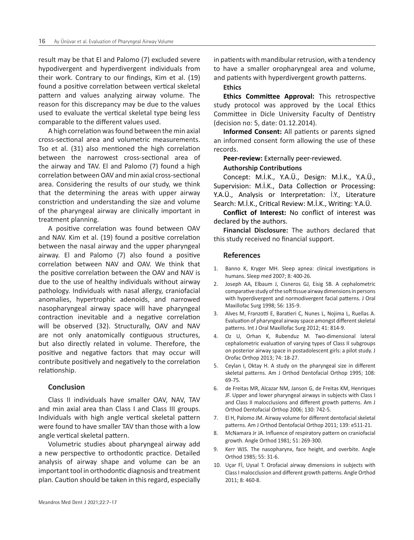result may be that El and Palomo (7) excluded severe hypodivergent and hyperdivergent individuals from their work. Contrary to our findings, Kim et al. (19) found a positive correlation between vertical skeletal pattern and values analyzing airway volume. The reason for this discrepancy may be due to the values used to evaluate the vertical skeletal type being less comparable to the different values used.

A high correlation was found between the min axial cross-sectional area and volumetric measurements. Tso et al. (31) also mentioned the high correlation between the narrowest cross-sectional area of the airway and TAV. El and Palomo (7) found a high correlation between OAV and min axial cross-sectional area. Considering the results of our study, we think that the determining the areas with upper airway constriction and understanding the size and volume of the pharyngeal airway are clinically important in treatment planning.

A positive correlation was found between OAV and NAV. Kim et al. (19) found a positive correlation between the nasal airway and the upper pharyngeal airway. El and Palomo (7) also found a positive correlation between NAV and OAV. We think that the positive correlation between the OAV and NAV is due to the use of healthy individuals without airway pathology. Individuals with nasal allergy, craniofacial anomalies, hypertrophic adenoids, and narrowed nasopharyngeal airway space will have pharyngeal contraction inevitable and a negative correlation will be observed (32). Structurally, OAV and NAV are not only anatomically contiguous structures, but also directly related in volume. Therefore, the positive and negative factors that may occur will contribute positively and negatively to the correlation relationship.

# **Conclusion**

Class II individuals have smaller OAV, NAV, TAV and min axial area than Class I and Class III groups. Individuals with high angle vertical skeletal pattern were found to have smaller TAV than those with a low angle vertical skeletal pattern.

Volumetric studies about pharyngeal airway add a new perspective to orthodontic practice. Detailed analysis of airway shape and volume can be an important tool in orthodontic diagnosis and treatment plan. Caution should be taken in this regard, especially in patients with mandibular retrusion, with a tendency to have a smaller oropharyngeal area and volume, and patients with hyperdivergent growth patterns.

#### **Ethics**

**Ethics Committee Approval:** This retrospective study protocol was approved by the Local Ethics Committee in Dicle University Faculty of Dentistry (decision no: 5, date: 01.12.2014).

**Informed Consent:** All patients or parents signed an informed consent form allowing the use of these records.

**Peer-review:** Externally peer-reviewed.

### **Authorship Contributions**

Concept: M.İ.K., Y.A.Ü., Design: M.İ.K., Y.A.Ü., Supervision: M.İ.K., Data Collection or Processing: Y.A.Ü., Analysis or Interpretation: İ.Y., Literature Search: M.İ.K., Critical Review: M.İ.K., Writing: Y.A.Ü.

**Conflict of Interest:** No conflict of interest was declared by the authors.

**Financial Disclosure:** The authors declared that this study received no financial support.

#### **References**

- 1. Banno K, Kryger MH. Sleep apnea: clinical investigations in humans. Sleep med 2007; 8: 400-26.
- 2. Joseph AA, Elbaum J, Cisneros GJ, Eisig SB. A cephalometric comparative study of the soft tissue airway dimensions in persons with hyperdivergent and normodivergent facial patterns. J Oral Maxillofac Surg 1998; 56: 135-9.
- 3. Alves M, Franzotti E, Baratieri C, Nunes L, Nojima L, Ruellas A. Evaluation of pharyngeal airway space amongst different skeletal patterns. Int J Oral Maxillofac Surg 2012; 41: 814-9.
- 4. Oz U, Orhan K, Rubenduz M. Two-dimensional lateral cephalometric evaluation of varying types of Class II subgroups on posterior airway space in postadolescent girls: a pilot study. J Orofac Orthop 2013; 74: 18-27.
- 5. Ceylan I, Oktay H. A study on the pharyngeal size in different skeletal patterns. Am J Orthod Dentofacial Orthop 1995; 108: 69-75.
- 6. de Freitas MR, Alcazar NM, Janson G, de Freitas KM, Henriques JF. Upper and lower pharyngeal airways in subjects with Class I and Class II malocclusions and different growth patterns. Am J Orthod Dentofacial Orthop 2006; 130: 742-5.
- 7. El H, Palomo JM. Airway volume for different dentofacial skeletal patterns. Am J Orthod Dentofacial Orthop 2011; 139: e511-21.
- 8. McNamara Jr JA. Influence of respiratory pattern on craniofacial growth. Angle Orthod 1981; 51: 269-300.
- 9. Kerr WJS. The nasopharynx, face height, and overbite. Angle Orthod 1985; 55: 31-6.
- 10. Uçar Fİ, Uysal T. Orofacial airway dimensions in subjects with Class I malocclusion and different growth patterns. Angle Orthod 2011; 8: 460-8.